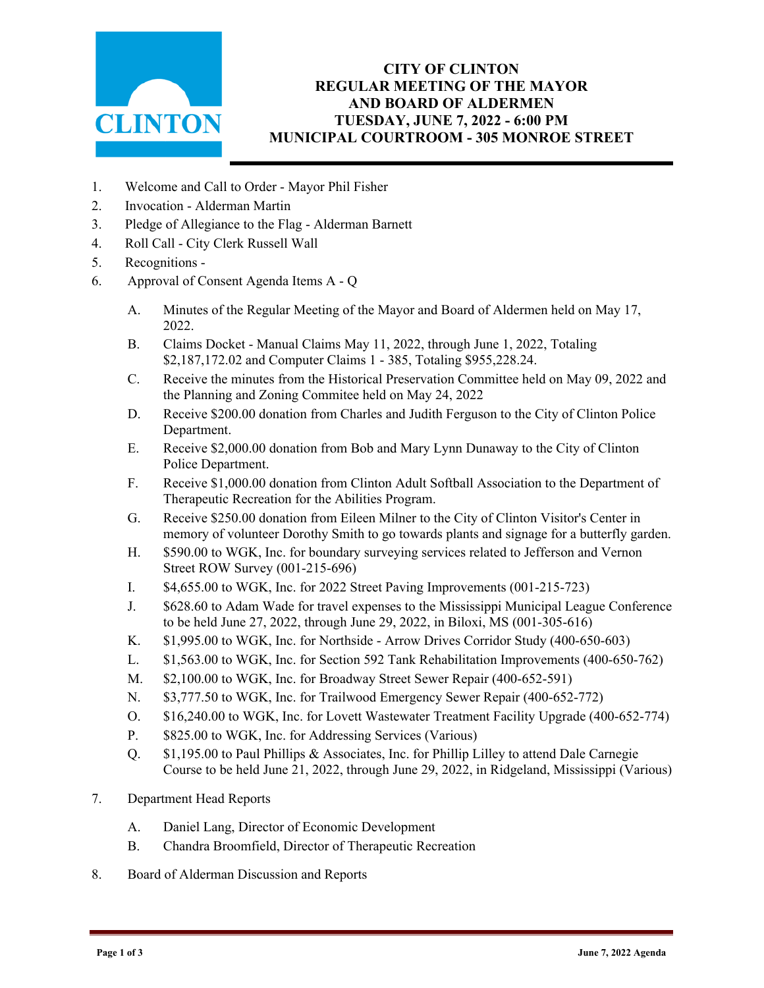

## **CITY OF CLINTON REGULAR MEETING OF THE MAYOR AND BOARD OF ALDERMEN TUESDAY, JUNE 7, 2022 - 6:00 PM MUNICIPAL COURTROOM - 305 MONROE STREET**

- 1. Welcome and Call to Order Mayor Phil Fisher
- 2. Invocation Alderman Martin
- 3. Pledge of Allegiance to the Flag Alderman Barnett
- 4. Roll Call City Clerk Russell Wall
- 5. Recognitions -
- 6. Approval of Consent Agenda Items A Q
	- A. Minutes of the Regular Meeting of the Mayor and Board of Aldermen held on May 17, 2022.
	- B. Claims Docket Manual Claims May 11, 2022, through June 1, 2022, Totaling \$2,187,172.02 and Computer Claims 1 - 385, Totaling \$955,228.24.
	- C. Receive the minutes from the Historical Preservation Committee held on May 09, 2022 and the Planning and Zoning Commitee held on May 24, 2022
	- D. Receive \$200.00 donation from Charles and Judith Ferguson to the City of Clinton Police Department.
	- E. Receive \$2,000.00 donation from Bob and Mary Lynn Dunaway to the City of Clinton Police Department.
	- F. Receive \$1,000.00 donation from Clinton Adult Softball Association to the Department of Therapeutic Recreation for the Abilities Program.
	- G. Receive \$250.00 donation from Eileen Milner to the City of Clinton Visitor's Center in memory of volunteer Dorothy Smith to go towards plants and signage for a butterfly garden.
	- H. \$590.00 to WGK, Inc. for boundary surveying services related to Jefferson and Vernon Street ROW Survey (001-215-696)
	- I. \$4,655.00 to WGK, Inc. for 2022 Street Paving Improvements (001-215-723)
	- J. \$628.60 to Adam Wade for travel expenses to the Mississippi Municipal League Conference to be held June 27, 2022, through June 29, 2022, in Biloxi, MS (001-305-616)
	- K. \$1,995.00 to WGK, Inc. for Northside Arrow Drives Corridor Study (400-650-603)
	- L. \$1,563.00 to WGK, Inc. for Section 592 Tank Rehabilitation Improvements (400-650-762)
	- M. \$2,100.00 to WGK, Inc. for Broadway Street Sewer Repair (400-652-591)
	- N. \$3,777.50 to WGK, Inc. for Trailwood Emergency Sewer Repair (400-652-772)
	- O. \$16,240.00 to WGK, Inc. for Lovett Wastewater Treatment Facility Upgrade (400-652-774)
	- P. \$825.00 to WGK, Inc. for Addressing Services (Various)
	- Q. \$1,195.00 to Paul Phillips & Associates, Inc. for Phillip Lilley to attend Dale Carnegie Course to be held June 21, 2022, through June 29, 2022, in Ridgeland, Mississippi (Various)
- 7. Department Head Reports
	- A. Daniel Lang, Director of Economic Development
	- B. Chandra Broomfield, Director of Therapeutic Recreation
- 8. Board of Alderman Discussion and Reports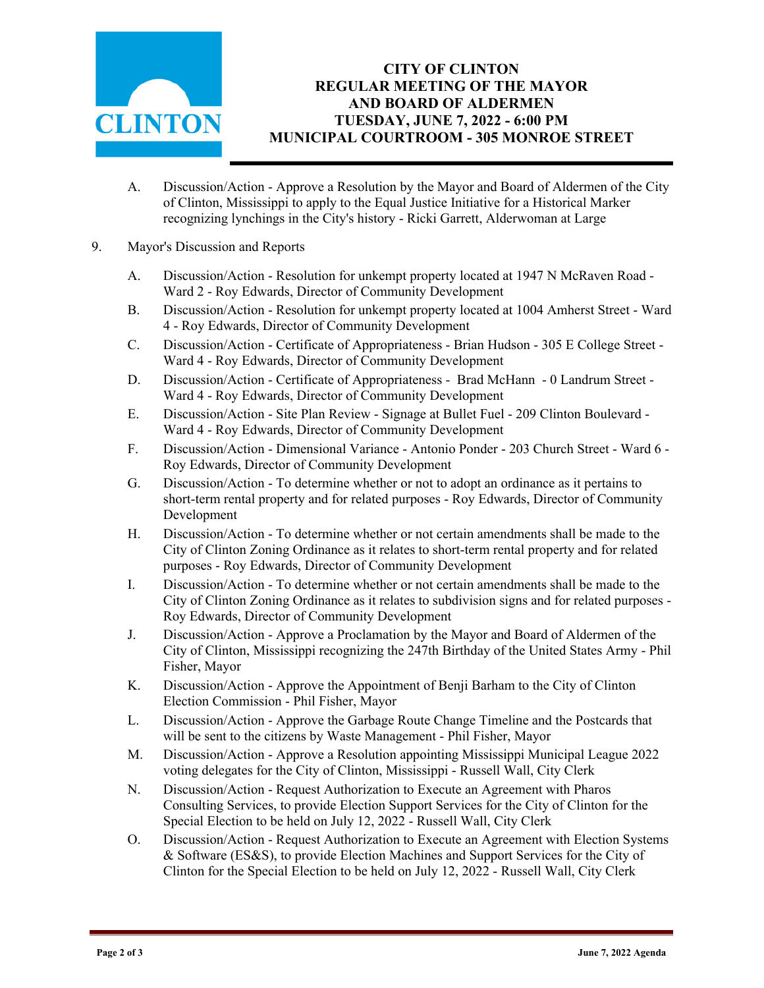

## **CITY OF CLINTON REGULAR MEETING OF THE MAYOR AND BOARD OF ALDERMEN TUESDAY, JUNE 7, 2022 - 6:00 PM MUNICIPAL COURTROOM - 305 MONROE STREET**

- A. Discussion/Action Approve a Resolution by the Mayor and Board of Aldermen of the City of Clinton, Mississippi to apply to the Equal Justice Initiative for a Historical Marker recognizing lynchings in the City's history - Ricki Garrett, Alderwoman at Large
- 9. Mayor's Discussion and Reports
	- A. Discussion/Action Resolution for unkempt property located at 1947 N McRaven Road Ward 2 - Roy Edwards, Director of Community Development
	- B. Discussion/Action Resolution for unkempt property located at 1004 Amherst Street Ward 4 - Roy Edwards, Director of Community Development
	- C. Discussion/Action Certificate of Appropriateness Brian Hudson 305 E College Street Ward 4 - Roy Edwards, Director of Community Development
	- D. Discussion/Action Certificate of Appropriateness Brad McHann 0 Landrum Street Ward 4 - Roy Edwards, Director of Community Development
	- E. Discussion/Action Site Plan Review Signage at Bullet Fuel 209 Clinton Boulevard Ward 4 - Roy Edwards, Director of Community Development
	- F. Discussion/Action Dimensional Variance Antonio Ponder 203 Church Street Ward 6 Roy Edwards, Director of Community Development
	- G. Discussion/Action To determine whether or not to adopt an ordinance as it pertains to short-term rental property and for related purposes - Roy Edwards, Director of Community Development
	- H. Discussion/Action To determine whether or not certain amendments shall be made to the City of Clinton Zoning Ordinance as it relates to short-term rental property and for related purposes - Roy Edwards, Director of Community Development
	- I. Discussion/Action To determine whether or not certain amendments shall be made to the City of Clinton Zoning Ordinance as it relates to subdivision signs and for related purposes - Roy Edwards, Director of Community Development
	- J. Discussion/Action Approve a Proclamation by the Mayor and Board of Aldermen of the City of Clinton, Mississippi recognizing the 247th Birthday of the United States Army - Phil Fisher, Mayor
	- K. Discussion/Action Approve the Appointment of Benji Barham to the City of Clinton Election Commission - Phil Fisher, Mayor
	- L. Discussion/Action Approve the Garbage Route Change Timeline and the Postcards that will be sent to the citizens by Waste Management - Phil Fisher, Mayor
	- M. Discussion/Action Approve a Resolution appointing Mississippi Municipal League 2022 voting delegates for the City of Clinton, Mississippi - Russell Wall, City Clerk
	- N. Discussion/Action Request Authorization to Execute an Agreement with Pharos Consulting Services, to provide Election Support Services for the City of Clinton for the Special Election to be held on July 12, 2022 - Russell Wall, City Clerk
	- O. Discussion/Action Request Authorization to Execute an Agreement with Election Systems & Software (ES&S), to provide Election Machines and Support Services for the City of Clinton for the Special Election to be held on July 12, 2022 - Russell Wall, City Clerk